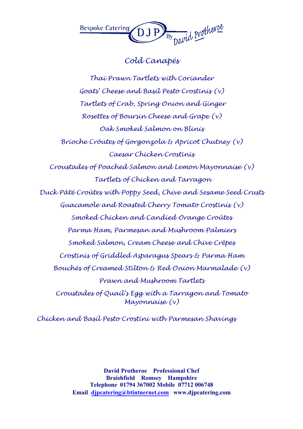

## Cold Canapés

Thai Prawn Tartlets with Coriander Goats' Cheese and Basil Pesto Crostinis (v) Tartlets of Crab, Spring Onion and Ginger Rosettes of Boursin Cheese and Grape (v) Oak Smoked Salmon on Blinis Brioche Crôutes of Gorgonzola & Apricot Chutney (v) Caesar Chicken Crostinis Croustades of Poached Salmon and Lemon Mayonnaise (v) Tartlets of Chicken and Tarragon Duck Pâté Croûtes with Poppy Seed, Chive and Sesame Seed Crusts Guacamole and Roasted Cherry Tomato Crostinis (v) Smoked Chicken and Candied Orange Croûtes Parma Ham, Parmesan and Mushroom Palmiers Smoked Salmon, Cream Cheese and Chive Crêpes Crostinis of Griddled Asparagus Spears & Parma Ham Bouchés of Creamed Stilton & Red Onion Marmalade (v) Prawn and Mushroom Tartlets Croustades of Quail's Egg with a Tarragon and Tomato Mayonnaise (v)

Chicken and Basil Pesto Crostini with Parmesan Shavings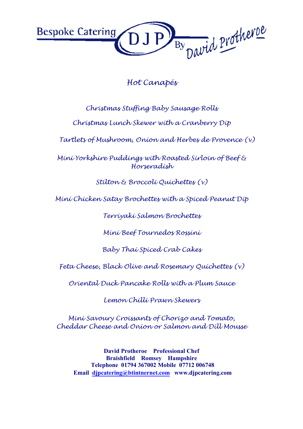By David Protheroe **Bespoke Catering** 

## Hot Canapés

Christmas Stuffing Baby Sausage Rolls

Christmas Lunch Skewer with a Cranberry Dip

Tartlets of Mushroom, Onion and Herbes de Provence (v)

Mini Yorkshire Puddings with Roasted Sirloin of Beef & Horseradish

Stilton & Broccoli Quichettes (v)

Mini Chicken Satay Brochettes with a Spiced Peanut Dip

Terriyaki Salmon Brochettes

Mini Beef Tournedos Rossini

Baby Thai Spiced Crab Cakes

Feta Cheese, Black Olive and Rosemary Quichettes (v)

Oriental Duck Pancake Rolls with a Plum Sauce

Lemon Chilli Prawn Skewers

Mini Savoury Croissants of Chorizo and Tomato, Cheddar Cheese and Onion or Salmon and Dill Mousse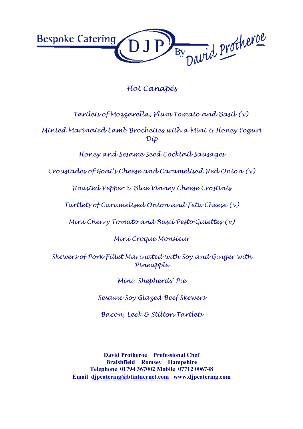

## Hot Canapés

Tartlets of Mozzarella, Plum Tomato and Basil (v)

Minted Marinated Lamb Brochettes with a Mint & Honey Yogurt Dip

Honey and Sesame Seed Cocktail Sausages

Croustades of Goat's Cheese and Caramelised Red Onion (v)

Roasted Pepper & Blue Vinney Cheese Crostinis

Tartlets of Caramelised Onion and Feta Cheese (v)

Mini Cherry Tomato and Basil Pesto Galettes (v)

Mini Croque Monsieur

Skewers of Pork Fillet Marinated with Soy and Ginger with Pineapple

Mini Shepherds' Pie

Sesame Soy Glazed Beef Skewers

Bacon, Leek & Stilton Tartlets